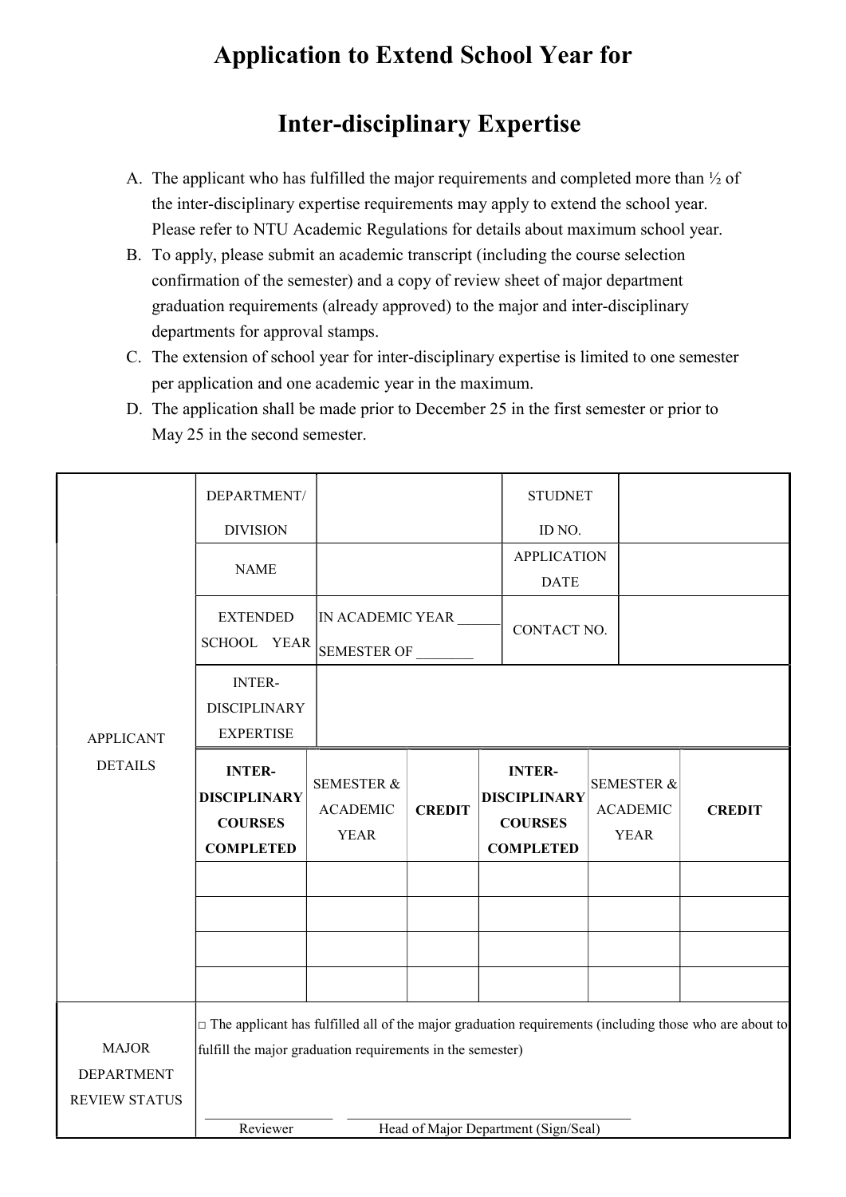## Application to Extend School Year for

## Inter-disciplinary Expertise

- A. The applicant who has fulfilled the major requirements and completed more than ½ of the inter-disciplinary expertise requirements may apply to extend the school year. Please refer to NTU Academic Regulations for details about maximum school year.
- B. To apply, please submit an academic transcript (including the course selection confirmation of the semester) and a copy of review sheet of major department graduation requirements (already approved) to the major and inter-disciplinary departments for approval stamps.
- C. The extension of school year for inter-disciplinary expertise is limited to one semester per application and one academic year in the maximum.
- D. The application shall be made prior to December 25 in the first semester or prior to May 25 in the second semester.

|                      | DEPARTMENT/                                                                                                   |                                |               |             | <b>STUDNET</b>                       |  |                                |               |  |
|----------------------|---------------------------------------------------------------------------------------------------------------|--------------------------------|---------------|-------------|--------------------------------------|--|--------------------------------|---------------|--|
|                      | <b>DIVISION</b>                                                                                               |                                |               |             | ID NO.                               |  |                                |               |  |
|                      | <b>NAME</b>                                                                                                   |                                |               |             | <b>APPLICATION</b>                   |  |                                |               |  |
|                      |                                                                                                               |                                |               |             | <b>DATE</b>                          |  |                                |               |  |
|                      | <b>EXTENDED</b>                                                                                               | IN ACADEMIC YEAR ____          |               | CONTACT NO. |                                      |  |                                |               |  |
|                      | SCHOOL YEAR                                                                                                   | SEMESTER OF                    |               |             |                                      |  |                                |               |  |
|                      | <b>INTER-</b>                                                                                                 |                                |               |             |                                      |  |                                |               |  |
|                      | <b>DISCIPLINARY</b>                                                                                           |                                |               |             |                                      |  |                                |               |  |
| <b>APPLICANT</b>     | <b>EXPERTISE</b>                                                                                              |                                |               |             |                                      |  |                                |               |  |
| <b>DETAILS</b>       | <b>INTER-</b><br><b>DISCIPLINARY</b>                                                                          | <b>SEMESTER &amp;</b>          |               |             | <b>INTER-</b><br><b>DISCIPLINARY</b> |  | <b>SEMESTER &amp;</b>          |               |  |
|                      | <b>COURSES</b>                                                                                                | <b>ACADEMIC</b><br><b>YEAR</b> | <b>CREDIT</b> |             | <b>COURSES</b>                       |  | <b>ACADEMIC</b><br><b>YEAR</b> | <b>CREDIT</b> |  |
|                      | <b>COMPLETED</b>                                                                                              |                                |               |             | <b>COMPLETED</b>                     |  |                                |               |  |
|                      |                                                                                                               |                                |               |             |                                      |  |                                |               |  |
|                      |                                                                                                               |                                |               |             |                                      |  |                                |               |  |
|                      |                                                                                                               |                                |               |             |                                      |  |                                |               |  |
|                      |                                                                                                               |                                |               |             |                                      |  |                                |               |  |
|                      |                                                                                                               |                                |               |             |                                      |  |                                |               |  |
|                      | $\Box$ The applicant has fulfilled all of the major graduation requirements (including those who are about to |                                |               |             |                                      |  |                                |               |  |
| <b>MAJOR</b>         | fulfill the major graduation requirements in the semester)                                                    |                                |               |             |                                      |  |                                |               |  |
| <b>DEPARTMENT</b>    |                                                                                                               |                                |               |             |                                      |  |                                |               |  |
| <b>REVIEW STATUS</b> |                                                                                                               |                                |               |             |                                      |  |                                |               |  |
|                      | Reviewer                                                                                                      |                                |               |             | Head of Major Department (Sign/Seal) |  |                                |               |  |